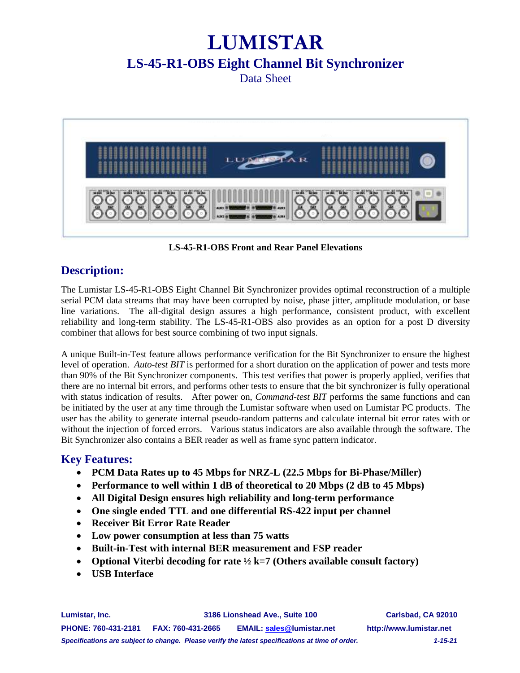# **LUMISTAR**

## **LS-45-R1-OBS Eight Channel Bit Synchronizer**

Data Sheet



**LS-45-R1-OBS Front and Rear Panel Elevations**

#### **Description:**

The Lumistar LS-45-R1-OBS Eight Channel Bit Synchronizer provides optimal reconstruction of a multiple serial PCM data streams that may have been corrupted by noise, phase jitter, amplitude modulation, or base line variations. The all-digital design assures a high performance, consistent product, with excellent reliability and long-term stability. The LS-45-R1-OBS also provides as an option for a post D diversity combiner that allows for best source combining of two input signals.

A unique Built-in-Test feature allows performance verification for the Bit Synchronizer to ensure the highest level of operation. *Auto-test BIT* is performed for a short duration on the application of power and tests more than 90% of the Bit Synchronizer components. This test verifies that power is properly applied, verifies that there are no internal bit errors, and performs other tests to ensure that the bit synchronizer is fully operational with status indication of results. After power on, *Command-test BIT* performs the same functions and can be initiated by the user at any time through the Lumistar software when used on Lumistar PC products. The user has the ability to generate internal pseudo-random patterns and calculate internal bit error rates with or without the injection of forced errors. Various status indicators are also available through the software. The Bit Synchronizer also contains a BER reader as well as frame sync pattern indicator.

#### **Key Features:**

- **PCM Data Rates up to 45 Mbps for NRZ-L (22.5 Mbps for Bi-Phase/Miller)**
- **Performance to well within 1 dB of theoretical to 20 Mbps (2 dB to 45 Mbps)**
- **All Digital Design ensures high reliability and long-term performance**
- **One single ended TTL and one differential RS-422 input per channel**
- **Receiver Bit Error Rate Reader**
- **Low power consumption at less than 75 watts**
- **Built-in-Test with internal BER measurement and FSP reader**
- **Optional Viterbi decoding for rate ½ k=7 (Others available consult factory)**
- **USB Interface**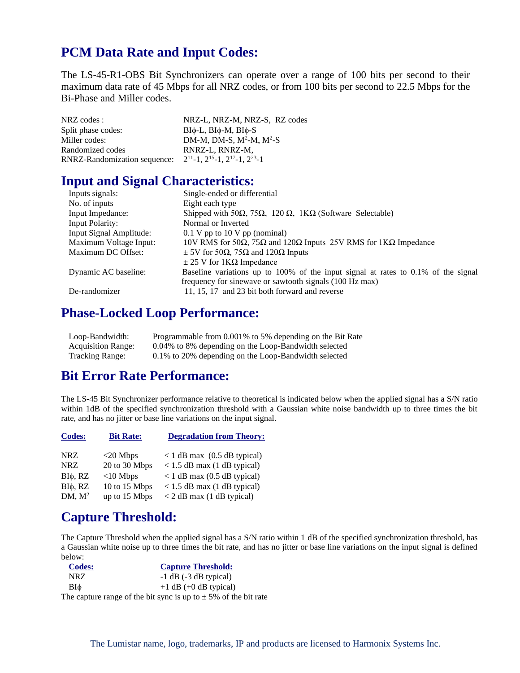## **PCM Data Rate and Input Codes:**

The LS-45-R1-OBS Bit Synchronizers can operate over a range of 100 bits per second to their maximum data rate of 45 Mbps for all NRZ codes, or from 100 bits per second to 22.5 Mbps for the Bi-Phase and Miller codes.

| NRZ codes :                  | NRZ-L, NRZ-M, NRZ-S, RZ codes                             |
|------------------------------|-----------------------------------------------------------|
| Split phase codes:           | $BI\phi$ -L, $BI\phi$ -M, $BI\phi$ -S                     |
| Miller codes:                | DM-M, DM-S, $M^2-M$ , $M^2-S$                             |
| Randomized codes             | RNRZ-L, RNRZ-M,                                           |
| RNRZ-Randomization sequence: | $2^{11} - 1$ , $2^{15} - 1$ , $2^{17} - 1$ , $2^{23} - 1$ |
|                              |                                                           |

#### **Input and Signal Characteristics:**

| Inputs signals:         | Single-ended or differential                                                              |
|-------------------------|-------------------------------------------------------------------------------------------|
| No. of inputs           | Eight each type                                                                           |
| Input Impedance:        | Shipped with 50 $\Omega$ , 75 $\Omega$ , 120 $\Omega$ , 1K $\Omega$ (Software Selectable) |
| <b>Input Polarity:</b>  | Normal or Inverted                                                                        |
| Input Signal Amplitude: | $0.1$ V pp to 10 V pp (nominal)                                                           |
| Maximum Voltage Input:  | 10V RMS for 50Ω, 75Ω and 120Ω Inputs 25V RMS for 1KΩ Impedance                            |
| Maximum DC Offset:      | $\pm$ 5V for 50 $\Omega$ , 75 $\Omega$ and 120 $\Omega$ Inputs                            |
|                         | $\pm$ 25 V for 1K $\Omega$ Impedance                                                      |
| Dynamic AC baseline:    | Baseline variations up to 100% of the input signal at rates to $0.1\%$ of the signal      |
|                         | frequency for sinewave or sawtooth signals (100 Hz max)                                   |
| De-randomizer           | 11, 15, 17 and 23 bit both forward and reverse                                            |
|                         |                                                                                           |

#### **Phase-Locked Loop Performance:**

| Loop-Bandwidth:           | Programmable from 0.001% to 5% depending on the Bit Rate |
|---------------------------|----------------------------------------------------------|
| <b>Acquisition Range:</b> | 0.04% to 8% depending on the Loop-Bandwidth selected     |
| <b>Tracking Range:</b>    | 0.1% to 20% depending on the Loop-Bandwidth selected     |

#### **Bit Error Rate Performance:**

The LS-45 Bit Synchronizer performance relative to theoretical is indicated below when the applied signal has a S/N ratio within 1dB of the specified synchronization threshold with a Gaussian white noise bandwidth up to three times the bit rate, and has no jitter or base line variations on the input signal.

| <b>Codes:</b>      | <b>Bit Rate:</b> | <b>Degradation from Theory:</b>   |
|--------------------|------------------|-----------------------------------|
| <b>NRZ</b>         | $<$ 20 Mbps      | $<$ 1 dB max (0.5 dB typical)     |
| <b>NRZ</b>         | 20 to 30 Mbps    | $< 1.5$ dB max (1 dB typical)     |
| $BI\phi$ , RZ      | $<$ 10 Mbps      | $<$ 1 dB max (0.5 dB typical)     |
| $BI\phi$ , RZ      | 10 to 15 Mbps    | $<$ 1.5 dB max (1 dB typical)     |
| DM, M <sup>2</sup> | up to 15 Mbps    | $\langle$ 2 dB max (1 dB typical) |

#### **Capture Threshold:**

The Capture Threshold when the applied signal has a S/N ratio within 1 dB of the specified synchronization threshold, has a Gaussian white noise up to three times the bit rate, and has no jitter or base line variations on the input signal is defined below:

| <b>Codes:</b> | <b>Capture Threshold:</b>                                           |
|---------------|---------------------------------------------------------------------|
| NRZ.          | $-1$ dB $(-3$ dB typical)                                           |
| BIф           | $+1$ dB (+0 dB typical)                                             |
|               | The capture range of the bit sync is up to $\pm$ 5% of the bit rate |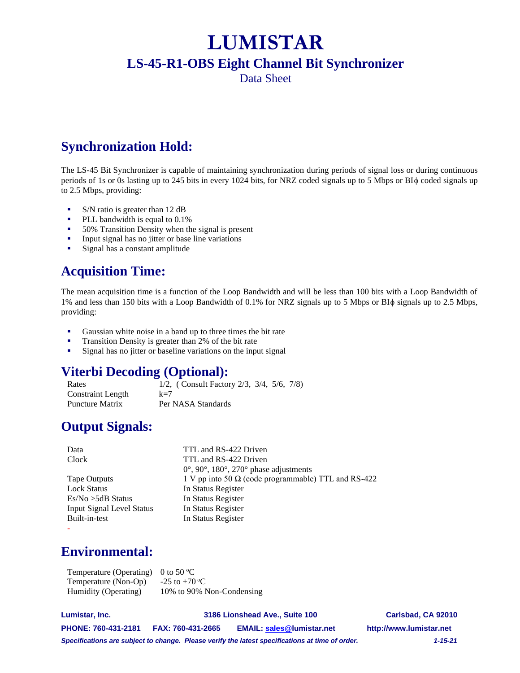## **LUMISTAR**

## **LS-45-R1-OBS Eight Channel Bit Synchronizer**

Data Sheet

## **Synchronization Hold:**

The LS-45 Bit Synchronizer is capable of maintaining synchronization during periods of signal loss or during continuous periods of 1s or 0s lasting up to 245 bits in every 1024 bits, for NRZ coded signals up to 5 Mbps or BI $\phi$  coded signals up to 2.5 Mbps, providing:

- S/N ratio is greater than 12 dB
- PLL bandwidth is equal to 0.1%
- 50% Transition Density when the signal is present
- **•** Input signal has no jitter or base line variations
- Signal has a constant amplitude

## **Acquisition Time:**

The mean acquisition time is a function of the Loop Bandwidth and will be less than 100 bits with a Loop Bandwidth of 1% and less than 150 bits with a Loop Bandwidth of 0.1% for NRZ signals up to 5 Mbps or BI $\phi$  signals up to 2.5 Mbps, providing:

- Gaussian white noise in a band up to three times the bit rate
- Transition Density is greater than 2% of the bit rate
- **EXECUTE:** Signal has no jitter or baseline variations on the input signal

## **Viterbi Decoding (Optional):**

Rates 1/2, ( Consult Factory 2/3, 3/4, 5/6, 7/8) Constraint Length k=7 Puncture Matrix Per NASA Standards

## **Output Signals:**

| Data                             | TTL and RS-422 Driven                                      |
|----------------------------------|------------------------------------------------------------|
| Clock                            | TTL and RS-422 Driven                                      |
|                                  | $0^{\circ}$ , 90°, 180°, 270° phase adjustments            |
| Tape Outputs                     | 1 V pp into 50 $\Omega$ (code programmable) TTL and RS-422 |
| <b>Lock Status</b>               | In Status Register                                         |
| $Es/No > 5dB$ Status             | In Status Register                                         |
| <b>Input Signal Level Status</b> | In Status Register                                         |
| Built-in-test                    | In Status Register                                         |
|                                  |                                                            |

## **Environmental:**

Temperature (Operating) 0 to 50  $\degree$ C Temperature (Non-Op)  $-25$  to  $+70^{\circ}$ C Humidity (Operating) 10% to 90% Non-Condensing

**Lumistar, Inc. 3186 Lionshead Ave., Suite 100 Carlsbad, CA 92010 PHONE: 760-431-2181 FAX: 760-431-2665 EMAIL[: sales@l](mailto:sales@)umistar.net http://www.lumistar.net** *Specifications are subject to change. Please verify the latest specifications at time of order. 1-15-21*